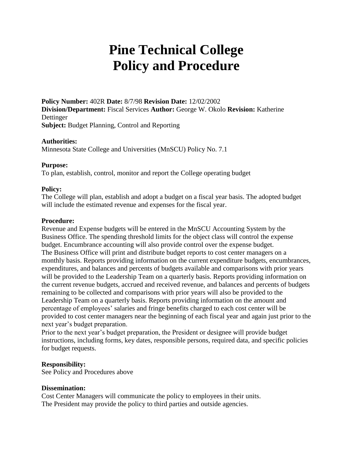# **Pine Technical College Policy and Procedure**

**Policy Number:** 402R **Date:** 8/7/98 **Revision Date:** 12/02/2002 **Division/Department:** Fiscal Services **Author:** George W. Okolo **Revision:** Katherine Dettinger **Subject:** Budget Planning, Control and Reporting

## **Authorities:**

Minnesota State College and Universities (MnSCU) Policy No. 7.1

## **Purpose:**

To plan, establish, control, monitor and report the College operating budget

# **Policy:**

The College will plan, establish and adopt a budget on a fiscal year basis. The adopted budget will include the estimated revenue and expenses for the fiscal year.

## **Procedure:**

Revenue and Expense budgets will be entered in the MnSCU Accounting System by the Business Office. The spending threshold limits for the object class will control the expense budget. Encumbrance accounting will also provide control over the expense budget. The Business Office will print and distribute budget reports to cost center managers on a monthly basis. Reports providing information on the current expenditure budgets, encumbrances, expenditures, and balances and percents of budgets available and comparisons with prior years will be provided to the Leadership Team on a quarterly basis. Reports providing information on the current revenue budgets, accrued and received revenue, and balances and percents of budgets remaining to be collected and comparisons with prior years will also be provided to the Leadership Team on a quarterly basis. Reports providing information on the amount and percentage of employees' salaries and fringe benefits charged to each cost center will be provided to cost center managers near the beginning of each fiscal year and again just prior to the next year's budget preparation.

Prior to the next year's budget preparation, the President or designee will provide budget instructions, including forms, key dates, responsible persons, required data, and specific policies for budget requests.

## **Responsibility:**

See Policy and Procedures above

## **Dissemination:**

Cost Center Managers will communicate the policy to employees in their units. The President may provide the policy to third parties and outside agencies.